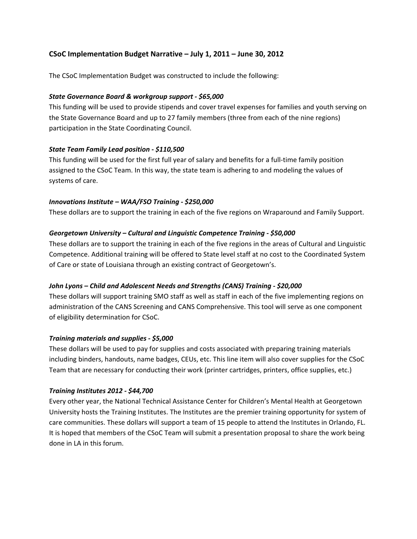# **CSoC Implementation Budget Narrative – July 1, 2011 – June 30, 2012**

The CSoC Implementation Budget was constructed to include the following:

# *State Governance Board & workgroup support ‐ \$65,000*

This funding will be used to provide stipends and cover travel expenses for families and youth serving on the State Governance Board and up to 27 family members (three from each of the nine regions) participation in the State Coordinating Council.

# *State Team Family Lead position ‐ \$110,500*

This funding will be used for the first full year of salary and benefits for a full‐time family position assigned to the CSoC Team. In this way, the state team is adhering to and modeling the values of systems of care.

# *Innovations Institute – WAA/FSO Training ‐ \$250,000*

These dollars are to support the training in each of the five regions on Wraparound and Family Support.

# *Georgetown University – Cultural and Linguistic Competence Training ‐ \$50,000*

These dollars are to support the training in each of the five regions in the areas of Cultural and Linguistic Competence. Additional training will be offered to State level staff at no cost to the Coordinated System of Care or state of Louisiana through an existing contract of Georgetown's.

# *John Lyons – Child and Adolescent Needs and Strengths (CANS) Training ‐ \$20,000*

These dollars will support training SMO staff as well as staff in each of the five implementing regions on administration of the CANS Screening and CANS Comprehensive. This tool will serve as one component of eligibility determination for CSoC.

# *Training materials and supplies ‐ \$5,000*

These dollars will be used to pay for supplies and costs associated with preparing training materials including binders, handouts, name badges, CEUs, etc. This line item will also cover supplies for the CSoC Team that are necessary for conducting their work (printer cartridges, printers, office supplies, etc.)

# *Training Institutes 2012 ‐ \$44,700*

Every other year, the National Technical Assistance Center for Children's Mental Health at Georgetown University hosts the Training Institutes. The Institutes are the premier training opportunity for system of care communities. These dollars will support a team of 15 people to attend the Institutes in Orlando, FL. It is hoped that members of the CSoC Team will submit a presentation proposal to share the work being done in LA in this forum.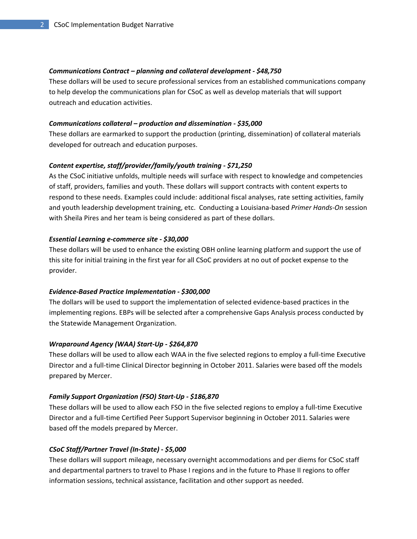### *Communications Contract – planning and collateral development ‐ \$48,750*

These dollars will be used to secure professional services from an established communications company to help develop the communications plan for CSoC as well as develop materials that will support outreach and education activities.

### *Communications collateral – production and dissemination ‐ \$35,000*

These dollars are earmarked to support the production (printing, dissemination) of collateral materials developed for outreach and education purposes.

### *Content expertise, staff/provider/family/youth training ‐ \$71,250*

As the CSoC initiative unfolds, multiple needs will surface with respect to knowledge and competencies of staff, providers, families and youth. These dollars will support contracts with content experts to respond to these needs. Examples could include: additional fiscal analyses, rate setting activities, family and youth leadership development training, etc. Conducting a Louisiana‐based *Primer Hands‐On* session with Sheila Pires and her team is being considered as part of these dollars.

### *Essential Learning e‐commerce site ‐ \$30,000*

These dollars will be used to enhance the existing OBH online learning platform and support the use of this site for initial training in the first year for all CSoC providers at no out of pocket expense to the provider.

### *Evidence‐Based Practice Implementation ‐ \$300,000*

The dollars will be used to support the implementation of selected evidence-based practices in the implementing regions. EBPs will be selected after a comprehensive Gaps Analysis process conducted by the Statewide Management Organization.

### *Wraparound Agency (WAA) Start‐Up ‐ \$264,870*

These dollars will be used to allow each WAA in the five selected regions to employ a full‐time Executive Director and a full‐time Clinical Director beginning in October 2011. Salaries were based off the models prepared by Mercer.

# *Family Support Organization (FSO) Start‐Up ‐ \$186,870*

These dollars will be used to allow each FSO in the five selected regions to employ a full‐time Executive Director and a full‐time Certified Peer Support Supervisor beginning in October 2011. Salaries were based off the models prepared by Mercer.

# *CSoC Staff/Partner Travel (In‐State) ‐ \$5,000*

These dollars will support mileage, necessary overnight accommodations and per diems for CSoC staff and departmental partners to travel to Phase I regions and in the future to Phase II regions to offer information sessions, technical assistance, facilitation and other support as needed.